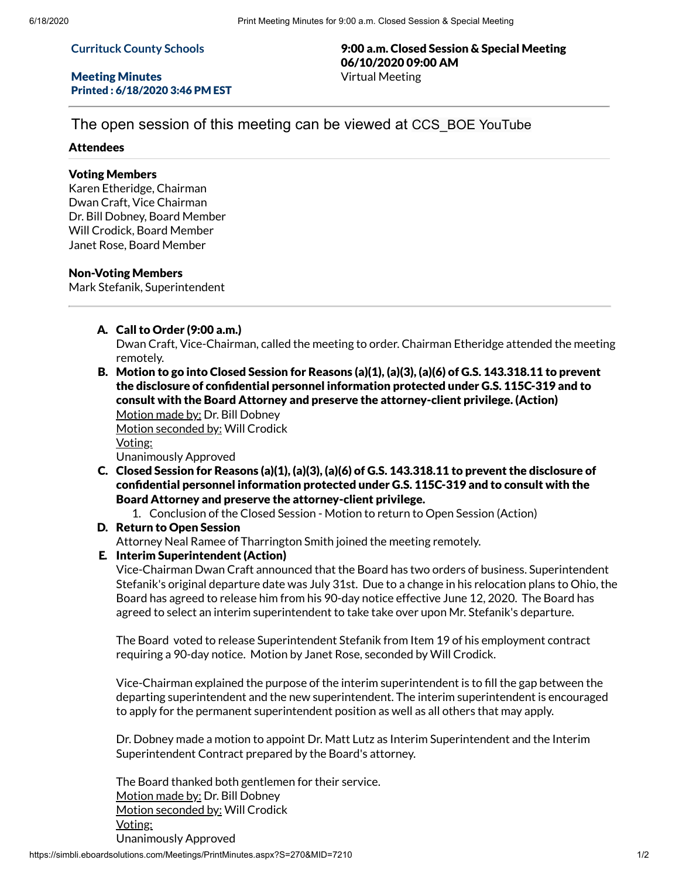**Currituck County Schools**

#### Meeting Minutes Printed : 6/18/2020 3:46 PM EST

# 9:00 a.m. Closed Session & Special Meeting 06/10/2020 09:00 AM Virtual Meeting

The open session of this meeting can be viewed at CCS\_BOE YouTube

#### Attendees

### Voting Members

Karen Etheridge, Chairman Dwan Craft, Vice Chairman Dr. Bill Dobney, Board Member Will Crodick, Board Member Janet Rose, Board Member

### Non-Voting Members

Mark Stefanik, Superintendent

## A. Call to Order (9:00 a.m.)

Dwan Craft, Vice-Chairman, called the meeting to order. Chairman Etheridge attended the meeting remotely.

B. Motion to go into Closed Session for Reasons (a)(1), (a)(3), (a)(6) of G.S. 143.318.11 to prevent the disclosure of confidential personnel information protected under G.S. 115C-319 and to consult with the Board Attorney and preserve the attorney-client privilege. (Action) Motion made by: Dr. Bill Dobney

Motion seconded by: Will Crodick Voting:

Unanimously Approved

- C. Closed Session for Reasons (a)(1), (a)(3), (a)(6) of G.S. 143.318.11 to prevent the disclosure of condential personnel information protected under G.S. 115C-319 and to consult with the Board Attorney and preserve the attorney-client privilege.
	- 1. Conclusion of the Closed Session Motion to return to Open Session (Action)

### D. Return to Open Session

Attorney Neal Ramee of Tharrington Smith joined the meeting remotely.

### E. Interim Superintendent (Action)

Vice-Chairman Dwan Craft announced that the Board has two orders of business. Superintendent Stefanik's original departure date was July 31st. Due to a change in his relocation plans to Ohio, the Board has agreed to release him from his 90-day notice effective June 12, 2020. The Board has agreed to select an interim superintendent to take take over upon Mr. Stefanik's departure.

The Board voted to release Superintendent Stefanik from Item 19 of his employment contract requiring a 90-day notice. Motion by Janet Rose, seconded by Will Crodick.

Vice-Chairman explained the purpose of the interim superintendent is to fill the gap between the departing superintendent and the new superintendent. The interim superintendent is encouraged to apply for the permanent superintendent position as well as all others that may apply.

Dr. Dobney made a motion to appoint Dr. Matt Lutz as Interim Superintendent and the Interim Superintendent Contract prepared by the Board's attorney.

The Board thanked both gentlemen for their service. Motion made by: Dr. Bill Dobney Motion seconded by: Will Crodick Voting: Unanimously Approved